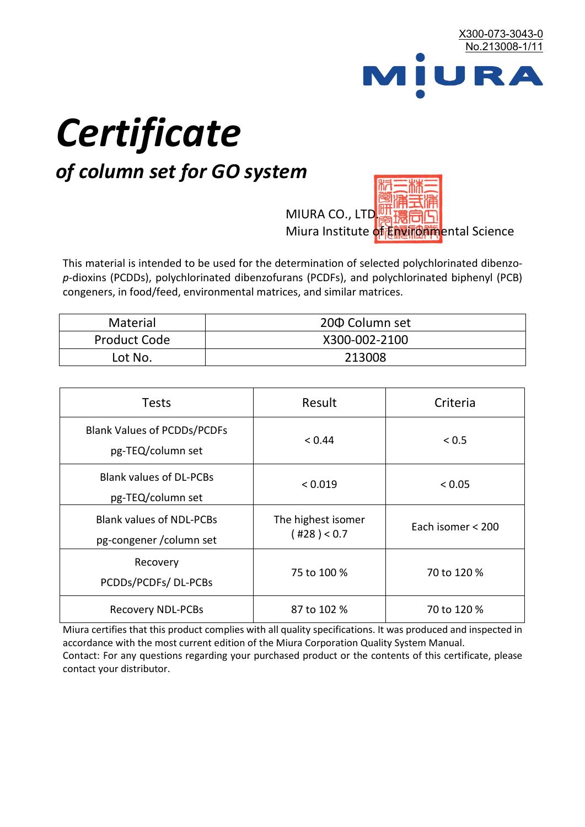

# *Certificate*

## *of column set for GO system*

MIURA CO., LTD. Miura Institute of 正版而解ental Science

This material is intended to be used for the determination of selected polychlorinated dibenzo*p*-dioxins (PCDDs), polychlorinated dibenzofurans (PCDFs), and polychlorinated biphenyl (PCB) congeners, in food/feed, environmental matrices, and similar matrices.

| <b>Material</b>     | 200 Column set |  |
|---------------------|----------------|--|
| <b>Product Code</b> | X300-002-2100  |  |
| Lot No.             | 213008         |  |

| <b>Tests</b>                                                | Result                            | Criteria          |  |
|-------------------------------------------------------------|-----------------------------------|-------------------|--|
| <b>Blank Values of PCDDs/PCDFs</b><br>pg-TEQ/column set     | < 0.44                            | < 0.5             |  |
| <b>Blank values of DL-PCBs</b><br>pg-TEQ/column set         | < 0.019                           | < 0.05            |  |
| <b>Blank values of NDL-PCBs</b><br>pg-congener / column set | The highest isomer<br>(428) < 0.7 | Each isomer < 200 |  |
| Recovery<br>PCDDs/PCDFs/DL-PCBs                             | 75 to 100 %                       | 70 to 120 %       |  |
| <b>Recovery NDL-PCBs</b>                                    | 87 to 102 %                       | 70 to 120 %       |  |

Miura certifies that this product complies with all quality specifications. It was produced and inspected in accordance with the most current edition of the Miura Corporation Quality System Manual. Contact: For any questions regarding your purchased product or the contents of this certificate, please contact your distributor.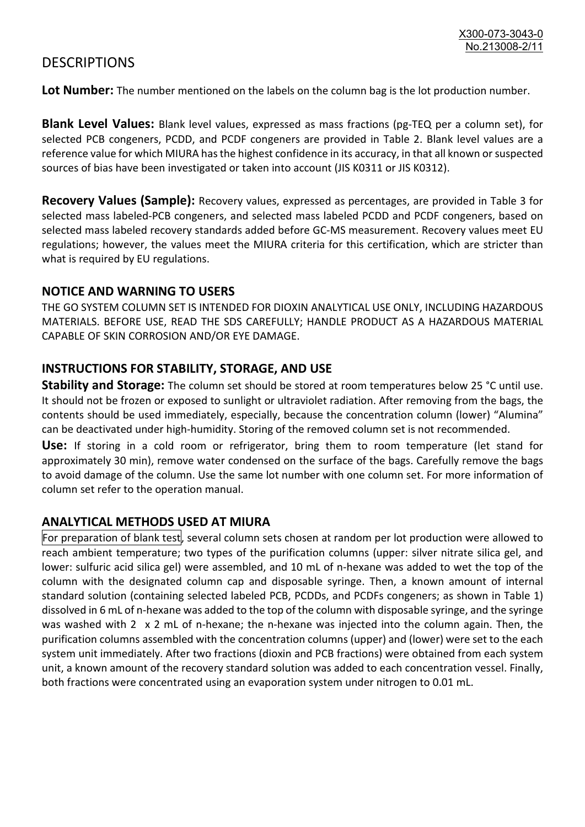### **DESCRIPTIONS**

**Lot Number:** The number mentioned on the labels on the column bag is the lot production number.

**Blank Level Values:** Blank level values, expressed as mass fractions (pg-TEQ per a column set), for selected PCB congeners, PCDD, and PCDF congeners are provided in Table 2. Blank level values are a reference value for which MIURA has the highest confidence in its accuracy, in that all known or suspected sources of bias have been investigated or taken into account (JIS K0311 or JIS K0312).

**Recovery Values (Sample):** Recovery values, expressed as percentages, are provided in Table 3 for selected mass labeled-PCB congeners, and selected mass labeled PCDD and PCDF congeners, based on selected mass labeled recovery standards added before GC-MS measurement. Recovery values meet EU regulations; however, the values meet the MIURA criteria for this certification, which are stricter than what is required by EU regulations.

#### **NOTICE AND WARNING TO USERS**

THE GO SYSTEM COLUMN SET IS INTENDED FOR DIOXIN ANALYTICAL USE ONLY, INCLUDING HAZARDOUS MATERIALS. BEFORE USE, READ THE SDS CAREFULLY; HANDLE PRODUCT AS A HAZARDOUS MATERIAL CAPABLE OF SKIN CORROSION AND/OR EYE DAMAGE.

#### **INSTRUCTIONS FOR STABILITY, STORAGE, AND USE**

**Stability and Storage:** The column set should be stored at room temperatures below 25 °C until use. It should not be frozen or exposed to sunlight or ultraviolet radiation. After removing from the bags, the contents should be used immediately, especially, because the concentration column (lower) "Alumina" can be deactivated under high-humidity. Storing of the removed column set is not recommended.

**Use:** If storing in a cold room or refrigerator, bring them to room temperature (let stand for approximately 30 min), remove water condensed on the surface of the bags. Carefully remove the bags to avoid damage of the column. Use the same lot number with one column set. For more information of column set refer to the operation manual.

#### **ANALYTICAL METHODS USED AT MIURA**

For preparation of blank test, several column sets chosen at random per lot production were allowed to reach ambient temperature; two types of the purification columns (upper: silver nitrate silica gel, and lower: sulfuric acid silica gel) were assembled, and 10 mL of n-hexane was added to wet the top of the column with the designated column cap and disposable syringe. Then, a known amount of internal standard solution (containing selected labeled PCB, PCDDs, and PCDFs congeners; as shown in Table 1) dissolved in 6 mL of n-hexane was added to the top of the column with disposable syringe, and the syringe was washed with 2 x 2 mL of n-hexane; the n-hexane was injected into the column again. Then, the purification columns assembled with the concentration columns (upper) and (lower) were set to the each system unit immediately. After two fractions (dioxin and PCB fractions) were obtained from each system unit, a known amount of the recovery standard solution was added to each concentration vessel. Finally, both fractions were concentrated using an evaporation system under nitrogen to 0.01 mL.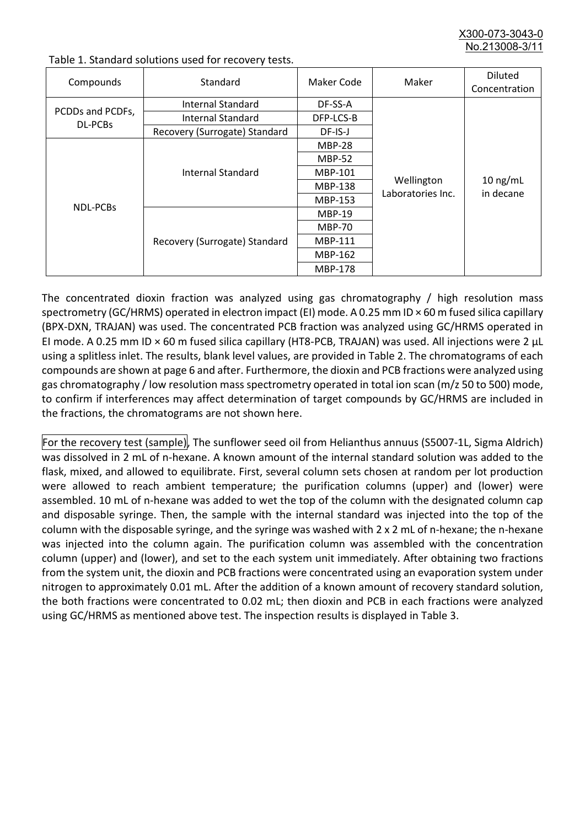X300-073-3043-0 No.213008-3/

| Compounds                   | Standard                      | Maker Code     | Maker                           | <b>Diluted</b><br>Concentration |
|-----------------------------|-------------------------------|----------------|---------------------------------|---------------------------------|
| PCDDs and PCDFs,<br>DL-PCBs | Internal Standard             | DF-SS-A        |                                 |                                 |
|                             | <b>Internal Standard</b>      | DFP-LCS-B      |                                 |                                 |
|                             | Recovery (Surrogate) Standard | DF-IS-J        | Wellington<br>Laboratories Inc. | $10$ ng/mL<br>in decane         |
| <b>NDL-PCBs</b>             | Internal Standard             | <b>MBP-28</b>  |                                 |                                 |
|                             |                               | <b>MBP-52</b>  |                                 |                                 |
|                             |                               | MBP-101        |                                 |                                 |
|                             |                               | <b>MBP-138</b> |                                 |                                 |
|                             |                               | MBP-153        |                                 |                                 |
|                             | Recovery (Surrogate) Standard | <b>MBP-19</b>  |                                 |                                 |
|                             |                               | <b>MBP-70</b>  |                                 |                                 |
|                             |                               | MBP-111        |                                 |                                 |
|                             |                               | MBP-162        |                                 |                                 |
|                             |                               | <b>MBP-178</b> |                                 |                                 |

Table 1. Standard solutions used for recovery tests.

The concentrated dioxin fraction was analyzed using gas chromatography / high resolution mass spectrometry (GC/HRMS) operated in electron impact (EI) mode. A 0.25 mm ID × 60 m fused silica capillary (BPX-DXN, TRAJAN) was used. The concentrated PCB fraction was analyzed using GC/HRMS operated in EI mode. A 0.25 mm ID × 60 m fused silica capillary (HT8-PCB, TRAJAN) was used. All injections were 2 μL using a splitless inlet. The results, blank level values, are provided in Table 2. The chromatograms of each compounds are shown at page 6 and after. Furthermore, the dioxin and PCB fractions were analyzed using gas chromatography / low resolution mass spectrometry operated in total ion scan (m/z 50 to 500) mode, to confirm if interferences may affect determination of target compounds by GC/HRMS are included in the fractions, the chromatograms are not shown here.

For the recovery test (sample), The sunflower seed oil from Helianthus annuus (S5007-1L, Sigma Aldrich) was dissolved in 2 mL of n-hexane. A known amount of the internal standard solution was added to the flask, mixed, and allowed to equilibrate. First, several column sets chosen at random per lot production were allowed to reach ambient temperature; the purification columns (upper) and (lower) were assembled. 10 mL of n-hexane was added to wet the top of the column with the designated column cap and disposable syringe. Then, the sample with the internal standard was injected into the top of the column with the disposable syringe, and the syringe was washed with 2 x 2 mL of n-hexane; the n-hexane was injected into the column again. The purification column was assembled with the concentration column (upper) and (lower), and set to the each system unit immediately. After obtaining two fractions from the system unit, the dioxin and PCB fractions were concentrated using an evaporation system under nitrogen to approximately 0.01 mL. After the addition of a known amount of recovery standard solution, the both fractions were concentrated to 0.02 mL; then dioxin and PCB in each fractions were analyzed using GC/HRMS as mentioned above test. The inspection results is displayed in Table 3.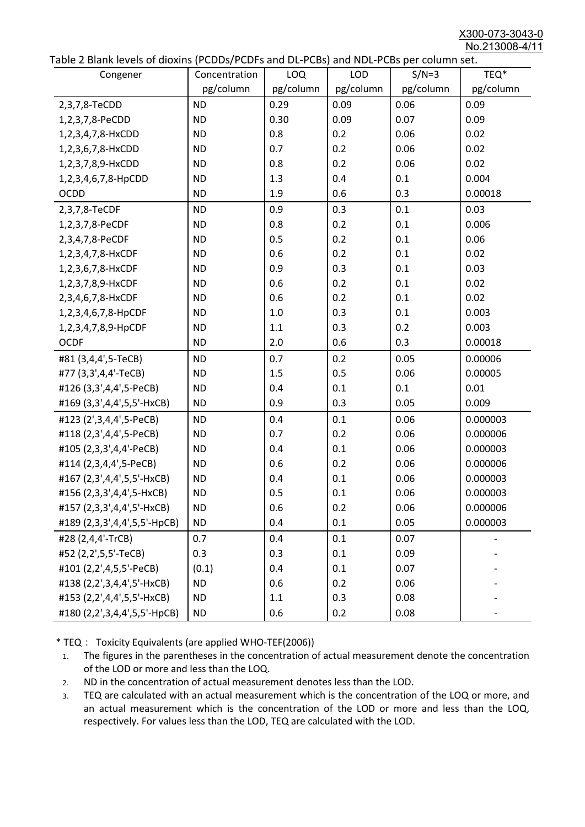X300-073-3043-0 No.213008-4/11

|  |  | Table 2 Blank levels of dioxins (PCDDs/PCDFs and DL-PCBs) and NDL-PCBs per column set. |
|--|--|----------------------------------------------------------------------------------------|
|--|--|----------------------------------------------------------------------------------------|

| able 2 Diarik levels of dioxins (FCDD3/FCDF3 and DL-FCD3) and NDL-FCD3 per column set.<br>Congener | Concentration | LOQ       | <b>LOD</b> | $S/N=3$   | TEQ*      |
|----------------------------------------------------------------------------------------------------|---------------|-----------|------------|-----------|-----------|
|                                                                                                    | pg/column     | pg/column | pg/column  | pg/column | pg/column |
| 2,3,7,8-TeCDD                                                                                      | <b>ND</b>     | 0.29      | 0.09       | 0.06      | 0.09      |
| 1,2,3,7,8-PeCDD                                                                                    | <b>ND</b>     | 0.30      | 0.09       | 0.07      | 0.09      |
| 1,2,3,4,7,8-HxCDD                                                                                  | <b>ND</b>     | 0.8       | 0.2        | 0.06      | 0.02      |
| 1,2,3,6,7,8-HxCDD                                                                                  | <b>ND</b>     | 0.7       | 0.2        | 0.06      | 0.02      |
| 1,2,3,7,8,9-HxCDD                                                                                  | <b>ND</b>     | 0.8       | 0.2        | 0.06      | 0.02      |
| 1,2,3,4,6,7,8-HpCDD                                                                                | <b>ND</b>     | 1.3       | 0.4        | 0.1       | 0.004     |
| <b>OCDD</b>                                                                                        | <b>ND</b>     | 1.9       | 0.6        | 0.3       | 0.00018   |
| 2,3,7,8-TeCDF                                                                                      | <b>ND</b>     | 0.9       | 0.3        | 0.1       | 0.03      |
| 1,2,3,7,8-PeCDF                                                                                    | <b>ND</b>     | 0.8       | 0.2        | 0.1       | 0.006     |
| 2,3,4,7,8-PeCDF                                                                                    | <b>ND</b>     | 0.5       | 0.2        | 0.1       | 0.06      |
| 1,2,3,4,7,8-HxCDF                                                                                  | <b>ND</b>     | 0.6       | 0.2        | 0.1       | 0.02      |
| 1,2,3,6,7,8-HxCDF                                                                                  | <b>ND</b>     | 0.9       | 0.3        | 0.1       | 0.03      |
| 1,2,3,7,8,9-HxCDF                                                                                  | <b>ND</b>     | 0.6       | 0.2        | 0.1       | 0.02      |
| 2,3,4,6,7,8-HxCDF                                                                                  | <b>ND</b>     | 0.6       | 0.2        | 0.1       | 0.02      |
| 1,2,3,4,6,7,8-HpCDF                                                                                | <b>ND</b>     | 1.0       | 0.3        | 0.1       | 0.003     |
| 1,2,3,4,7,8,9-HpCDF                                                                                | <b>ND</b>     | 1.1       | 0.3        | 0.2       | 0.003     |
| <b>OCDF</b>                                                                                        | <b>ND</b>     | 2.0       | 0.6        | 0.3       | 0.00018   |
| #81 (3,4,4',5-TeCB)                                                                                | <b>ND</b>     | 0.7       | 0.2        | 0.05      | 0.00006   |
| #77 (3,3',4,4'-TeCB)                                                                               | <b>ND</b>     | 1.5       | 0.5        | 0.06      | 0.00005   |
| #126 (3,3',4,4',5-PeCB)                                                                            | <b>ND</b>     | 0.4       | 0.1        | 0.1       | 0.01      |
| #169 (3,3',4,4',5,5'-HxCB)                                                                         | <b>ND</b>     | 0.9       | 0.3        | 0.05      | 0.009     |
| #123 (2',3,4,4',5-PeCB)                                                                            | <b>ND</b>     | 0.4       | 0.1        | 0.06      | 0.000003  |
| #118 (2,3',4,4',5-PeCB)                                                                            | <b>ND</b>     | 0.7       | 0.2        | 0.06      | 0.000006  |
| #105 (2,3,3',4,4'-PeCB)                                                                            | <b>ND</b>     | 0.4       | 0.1        | 0.06      | 0.000003  |
| #114 (2,3,4,4',5-PeCB)                                                                             | <b>ND</b>     | 0.6       | 0.2        | 0.06      | 0.000006  |
| #167 (2,3',4,4',5,5'-HxCB)                                                                         | <b>ND</b>     | 0.4       | 0.1        | 0.06      | 0.000003  |
| #156 (2,3,3',4,4',5-HxCB)                                                                          | <b>ND</b>     | 0.5       | 0.1        | 0.06      | 0.000003  |
| #157 (2,3,3',4,4',5'-HxCB)                                                                         | <b>ND</b>     | 0.6       | 0.2        | 0.06      | 0.000006  |
| #189 (2,3,3',4,4',5,5'-HpCB)                                                                       | <b>ND</b>     | 0.4       | 0.1        | 0.05      | 0.000003  |
| #28 (2,4,4'-TrCB)                                                                                  | 0.7           | 0.4       | 0.1        | 0.07      |           |
| #52 (2,2',5,5'-TeCB)                                                                               | 0.3           | 0.3       | 0.1        | 0.09      |           |
| #101 (2,2',4,5,5'-PeCB)                                                                            | (0.1)         | 0.4       | 0.1        | 0.07      |           |
| #138 (2,2',3,4,4',5'-HxCB)                                                                         | <b>ND</b>     | 0.6       | 0.2        | 0.06      |           |
| #153 (2,2',4,4',5,5'-HxCB)                                                                         | <b>ND</b>     | 1.1       | 0.3        | 0.08      |           |
| #180 (2,2',3,4,4',5,5'-HpCB)                                                                       | <b>ND</b>     | 0.6       | 0.2        | 0.08      |           |

\* TEQ: Toxicity Equivalents (are applied WHO-TEF(2006))

- 1. The figures in the parentheses in the concentration of actual measurement denote the concentration of the LOD or more and less than the LOQ.
- 2. ND in the concentration of actual measurement denotes less than the LOD.
- 3. TEQ are calculated with an actual measurement which is the concentration of the LOQ or more, and an actual measurement which is the concentration of the LOD or more and less than the LOQ, respectively. For values less than the LOD, TEQ are calculated with the LOD.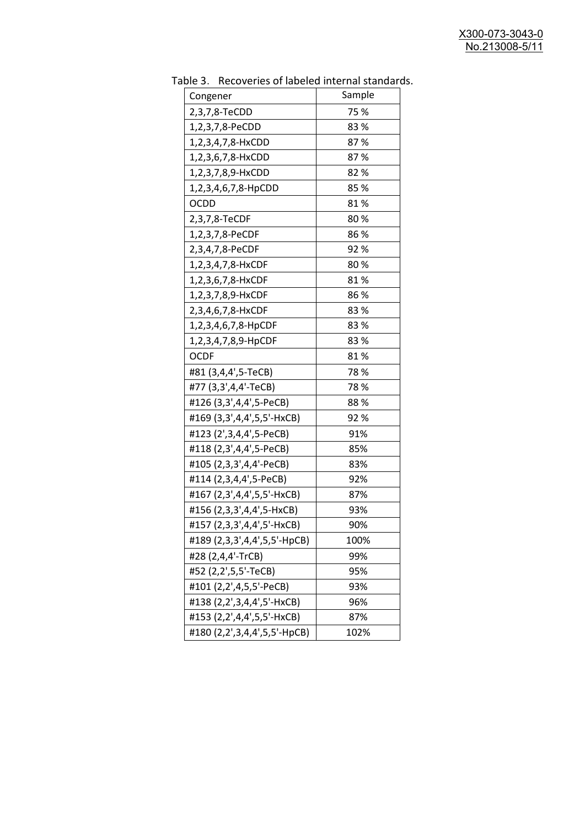| uwic<br>Recoveries of fabelea internal standar | Sample |
|------------------------------------------------|--------|
| Congener                                       | 75 %   |
| 2,3,7,8-TeCDD                                  | 83%    |
| 1,2,3,7,8-PeCDD                                |        |
| 1,2,3,4,7,8-HxCDD                              | 87%    |
| 1,2,3,6,7,8-HxCDD                              | 87%    |
| 1,2,3,7,8,9-HxCDD                              | 82%    |
| 1,2,3,4,6,7,8-HpCDD                            | 85%    |
| <b>OCDD</b>                                    | 81%    |
| 2,3,7,8-TeCDF                                  | 80%    |
| 1,2,3,7,8-PeCDF                                | 86%    |
| 2,3,4,7,8-PeCDF                                | 92%    |
| 1,2,3,4,7,8-HxCDF                              | 80%    |
| 1,2,3,6,7,8-HxCDF                              | 81%    |
| 1,2,3,7,8,9-HxCDF                              | 86%    |
| 2,3,4,6,7,8-HxCDF                              | 83%    |
| 1,2,3,4,6,7,8-HpCDF                            | 83%    |
| 1,2,3,4,7,8,9-HpCDF                            | 83%    |
| <b>OCDF</b>                                    | 81%    |
| #81 (3,4,4',5-TeCB)                            | 78%    |
| #77 (3,3',4,4'-TeCB)                           | 78 %   |
| #126 (3,3',4,4',5-PeCB)                        | 88%    |
| #169 (3,3',4,4',5,5'-HxCB)                     | 92 %   |
| #123 (2',3,4,4',5-PeCB)                        | 91%    |
| #118 (2,3',4,4',5-PeCB)                        | 85%    |
| #105 (2,3,3',4,4'-PeCB)                        | 83%    |
| #114 (2,3,4,4',5-PeCB)                         | 92%    |
| #167 (2,3',4,4',5,5'-HxCB)                     | 87%    |
| #156 (2,3,3',4,4',5-HxCB)                      | 93%    |
| #157 (2,3,3',4,4',5'-HxCB)                     | 90%    |
| #189 (2,3,3',4,4',5,5'-HpCB)                   | 100%   |
| #28 (2,4,4'-TrCB)                              | 99%    |
| #52 (2,2',5,5'-TeCB)                           | 95%    |
| #101 (2,2',4,5,5'-PeCB)                        | 93%    |
| #138 (2,2',3,4,4',5'-HxCB)                     | 96%    |
| #153 (2,2',4,4',5,5'-HxCB)                     | 87%    |
| #180 (2,2',3,4,4',5,5'-HpCB)                   | 102%   |
|                                                |        |

Table 3. Recoveries of labeled internal standards.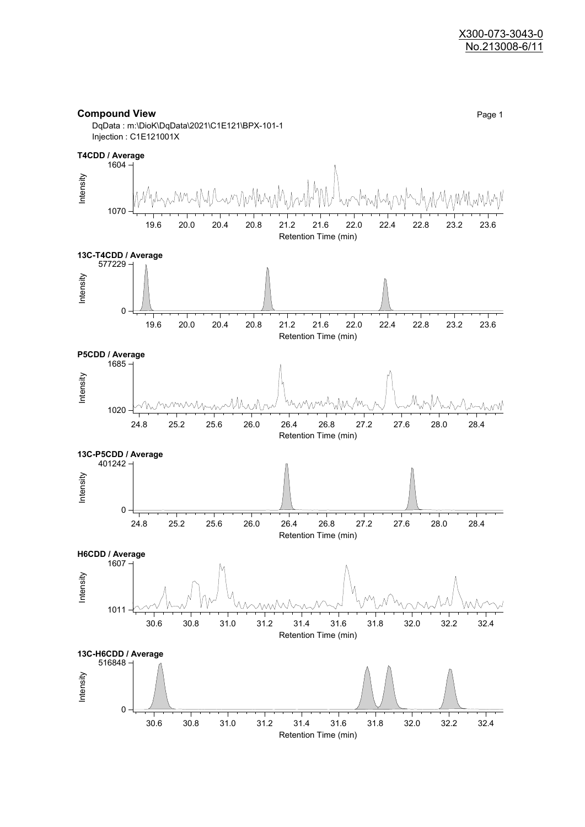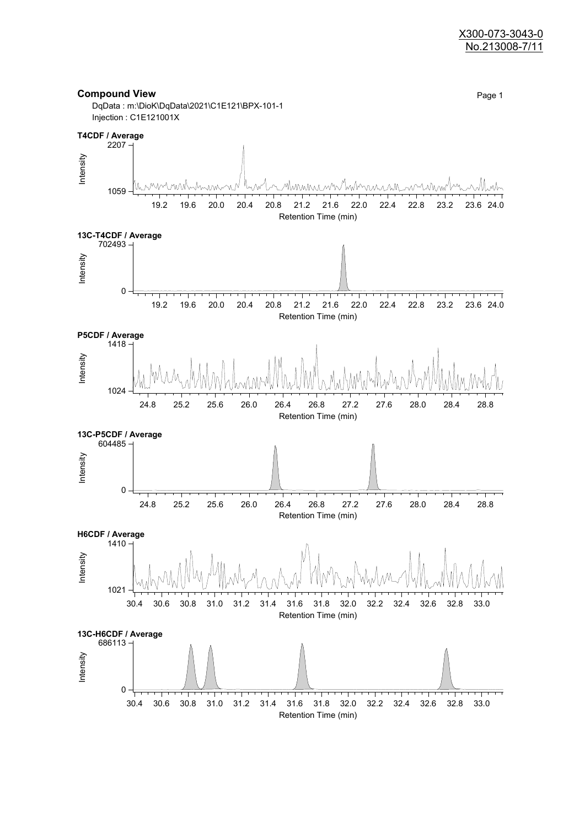#### X300-073-3043-0 No.213008-7/11

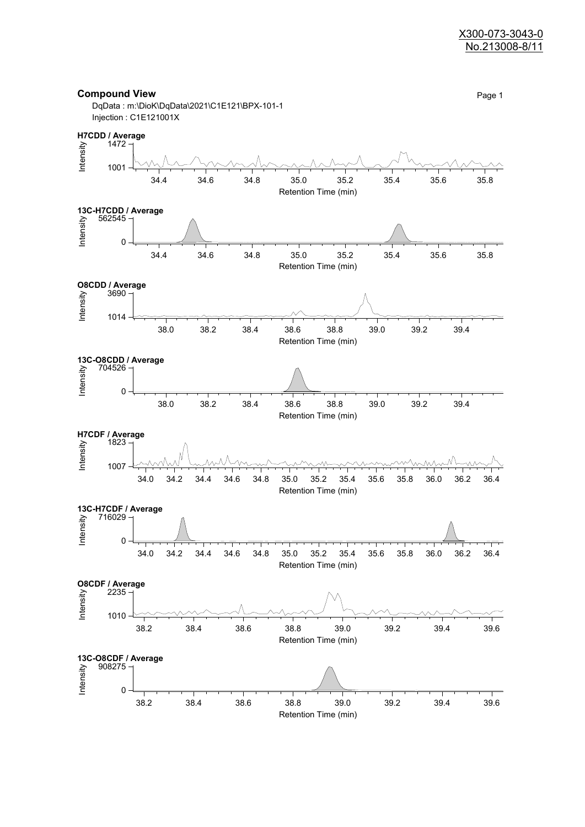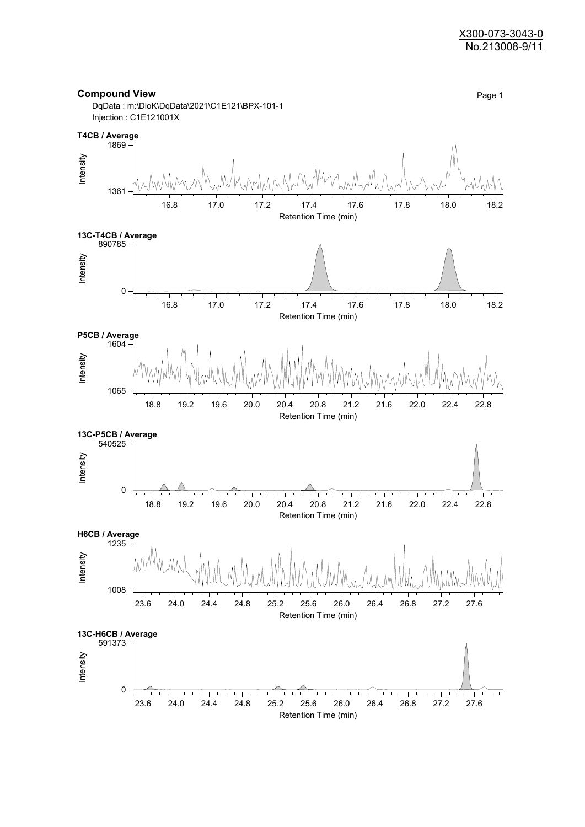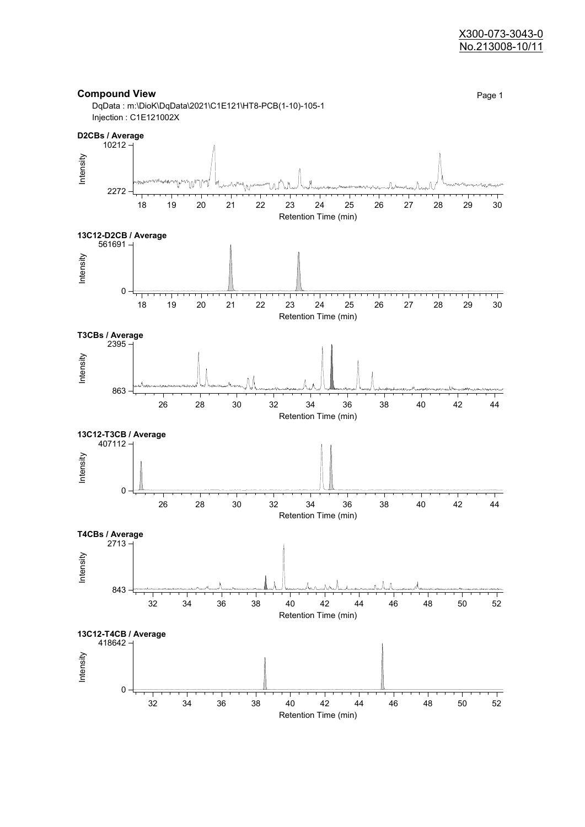